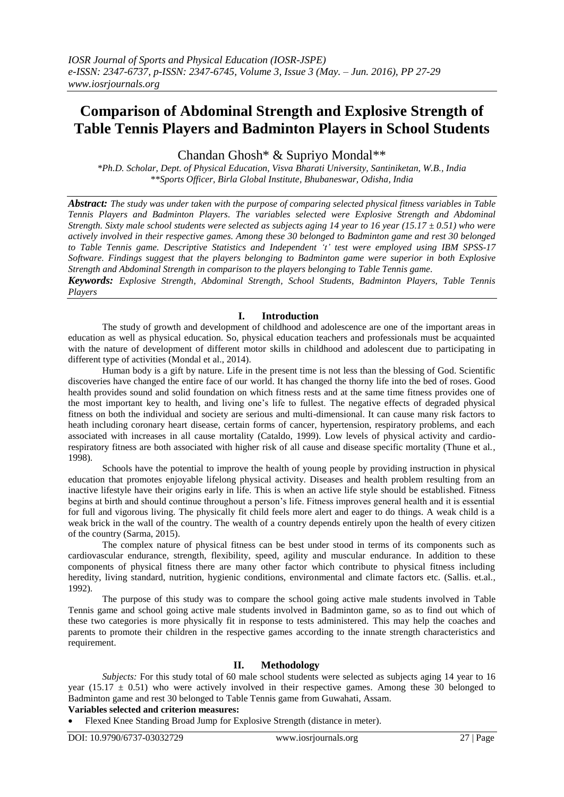# **Comparison of Abdominal Strength and Explosive Strength of Table Tennis Players and Badminton Players in School Students**

Chandan Ghosh\* & Supriyo Mondal\*\*

*\*Ph.D. Scholar, Dept. of Physical Education, Visva Bharati University, Santiniketan, W.B., India \*\*Sports Officer, Birla Global Institute, Bhubaneswar, Odisha, India*

*Abstract: The study was under taken with the purpose of comparing selected physical fitness variables in Table Tennis Players and Badminton Players. The variables selected were Explosive Strength and Abdominal Strength. Sixty male school students were selected as subjects aging 14 year to 16 year (15.17 ± 0.51) who were actively involved in their respective games. Among these 30 belonged to Badminton game and rest 30 belonged to Table Tennis game. Descriptive Statistics and Independent 't' test were employed using IBM SPSS-17 Software. Findings suggest that the players belonging to Badminton game were superior in both Explosive Strength and Abdominal Strength in comparison to the players belonging to Table Tennis game.*

*Keywords: Explosive Strength, Abdominal Strength, School Students, Badminton Players, Table Tennis Players*

#### **I. Introduction**

The study of growth and development of childhood and adolescence are one of the important areas in education as well as physical education. So, physical education teachers and professionals must be acquainted with the nature of development of different motor skills in childhood and adolescent due to participating in different type of activities (Mondal et al., 2014).

Human body is a gift by nature. Life in the present time is not less than the blessing of God. Scientific discoveries have changed the entire face of our world. It has changed the thorny life into the bed of roses. Good health provides sound and solid foundation on which fitness rests and at the same time fitness provides one of the most important key to health, and living one's life to fullest. The negative effects of degraded physical fitness on both the individual and society are serious and multi-dimensional. It can cause many risk factors to heath including coronary heart disease, certain forms of cancer, hypertension, respiratory problems, and each associated with increases in all cause mortality (Cataldo, 1999). Low levels of physical activity and cardiorespiratory fitness are both associated with higher risk of all cause and disease specific mortality (Thune et al., 1998).

Schools have the potential to improve the health of young people by providing instruction in physical education that promotes enjoyable lifelong physical activity. Diseases and health problem resulting from an inactive lifestyle have their origins early in life. This is when an active life style should be established. Fitness begins at birth and should continue throughout a person's life. Fitness improves general health and it is essential for full and vigorous living. The physically fit child feels more alert and eager to do things. A weak child is a weak brick in the wall of the country. The wealth of a country depends entirely upon the health of every citizen of the country (Sarma, 2015).

The complex nature of physical fitness can be best under stood in terms of its components such as cardiovascular endurance, strength, flexibility, speed, agility and muscular endurance. In addition to these components of physical fitness there are many other factor which contribute to physical fitness including heredity, living standard, nutrition, hygienic conditions, environmental and climate factors etc. (Sallis. et.al., 1992).

The purpose of this study was to compare the school going active male students involved in Table Tennis game and school going active male students involved in Badminton game, so as to find out which of these two categories is more physically fit in response to tests administered. This may help the coaches and parents to promote their children in the respective games according to the innate strength characteristics and requirement.

# **II. Methodology**

*Subjects:* For this study total of 60 male school students were selected as subjects aging 14 year to 16 year (15.17  $\pm$  0.51) who were actively involved in their respective games. Among these 30 belonged to Badminton game and rest 30 belonged to Table Tennis game from Guwahati, Assam.

#### **Variables selected and criterion measures:**

Flexed Knee Standing Broad Jump for Explosive Strength (distance in meter).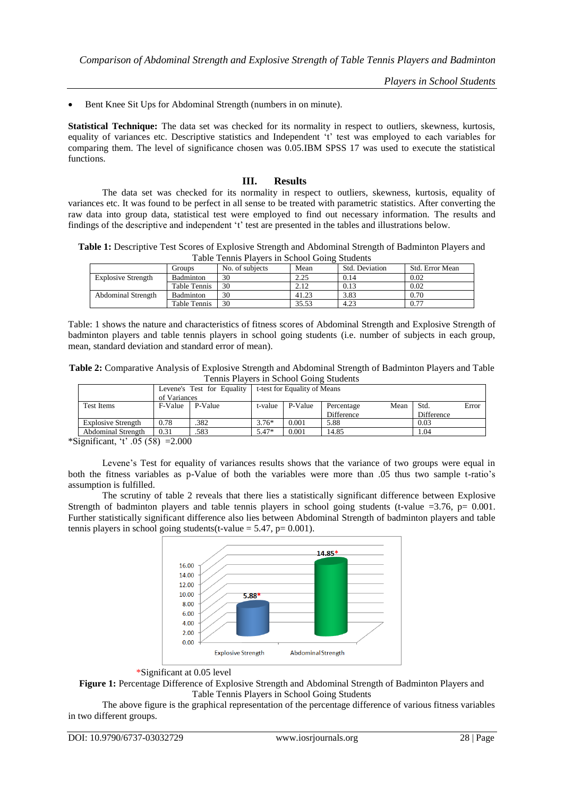*Players in School Students*

Bent Knee Sit Ups for Abdominal Strength (numbers in on minute).

**Statistical Technique:** The data set was checked for its normality in respect to outliers, skewness, kurtosis, equality of variances etc. Descriptive statistics and Independent 't' test was employed to each variables for comparing them. The level of significance chosen was 0.05.IBM SPSS 17 was used to execute the statistical functions.

# **III. Results**

The data set was checked for its normality in respect to outliers, skewness, kurtosis, equality of variances etc. It was found to be perfect in all sense to be treated with parametric statistics. After converting the raw data into group data, statistical test were employed to find out necessary information. The results and findings of the descriptive and independent 't' test are presented in the tables and illustrations below.

**Table 1:** Descriptive Test Scores of Explosive Strength and Abdominal Strength of Badminton Players and Table Tennis Players in School Going Students

|                           | Groups           | No. of subjects | Mean  | Std. Deviation | Std. Error Mean |
|---------------------------|------------------|-----------------|-------|----------------|-----------------|
| <b>Explosive Strength</b> | <b>Badminton</b> | 30              | 2.25  | 0.14           | 0.02            |
|                           | Table Tennis     | 30              | 2.12  | 0.13           | 0.02            |
| <b>Abdominal Strength</b> | <b>Badminton</b> | 30              | 41.23 | 3.83           | 0.70            |
|                           | Table Tennis     | 30              | 35.53 | 4.23           | 0.77            |

Table: 1 shows the nature and characteristics of fitness scores of Abdominal Strength and Explosive Strength of badminton players and table tennis players in school going students (i.e. number of subjects in each group, mean, standard deviation and standard error of mean).

| Table 2: Comparative Analysis of Explosive Strength and Abdominal Strength of Badminton Players and Table |
|-----------------------------------------------------------------------------------------------------------|
| Tennis Players in School Going Students                                                                   |

|                           |              | Levene's Test for Equality | t-test for Equality of Means |         |            |      |            |       |  |
|---------------------------|--------------|----------------------------|------------------------------|---------|------------|------|------------|-------|--|
|                           | of Variances |                            |                              |         |            |      |            |       |  |
| <b>Test Items</b>         | F-Value      | P-Value                    | t-value                      | P-Value | Percentage | Mean | Std.       | Error |  |
|                           |              |                            |                              |         | Difference |      | Difference |       |  |
| <b>Explosive Strength</b> | 0.78         | 382                        | $3.76*$                      | 0.001   | 5.88       |      | 0.03       |       |  |
| <b>Abdominal Strength</b> | 0.31         | .583                       | $5.47*$                      | 0.001   | 14.85      |      | 1.04       |       |  |

\*Significant, 't' .05 (58) = 2.000

Levene's Test for equality of variances results shows that the variance of two groups were equal in both the fitness variables as p-Value of both the variables were more than .05 thus two sample t-ratio's assumption is fulfilled.

The scrutiny of table 2 reveals that there lies a statistically significant difference between Explosive Strength of badminton players and table tennis players in school going students (t-value  $=3.76$ , p= 0.001. Further statistically significant difference also lies between Abdominal Strength of badminton players and table tennis players in school going students(t-value  $= 5.47$ , p $= 0.001$ ).



### \*Significant at 0.05 level

**Figure 1:** Percentage Difference of Explosive Strength and Abdominal Strength of Badminton Players and Table Tennis Players in School Going Students

The above figure is the graphical representation of the percentage difference of various fitness variables in two different groups.